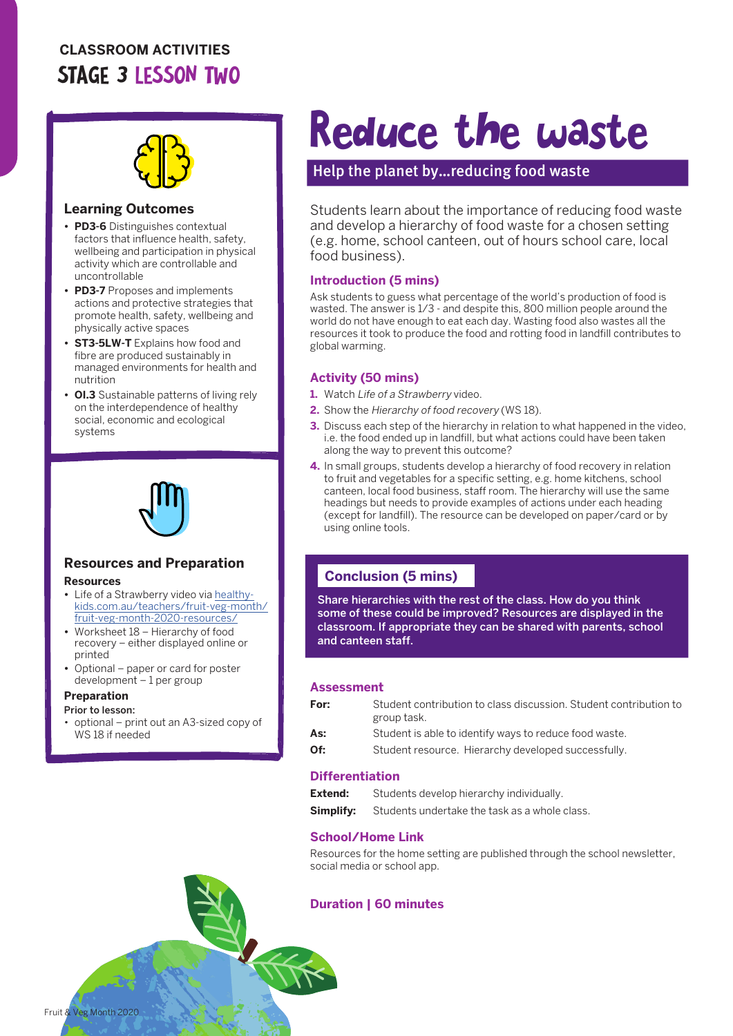### **CLASSROOM ACTIVITIES** STAGE 3 LESSON TWO



#### **Learning Outcomes**

- **• PD3-6** Distinguishes contextual factors that influence health, safety, wellbeing and participation in physical activity which are controllable and uncontrollable
- **• PD3-7** Proposes and implements actions and protective strategies that promote health, safety, wellbeing and physically active spaces
- **• ST3-5LW-T** Explains how food and fibre are produced sustainably in managed environments for health and nutrition
- **• OI.3** Sustainable patterns of living rely on the interdependence of healthy social, economic and ecological systems



#### **Resources and Preparation Resources**

- Life of a Strawberry video via [healthy](http://healthy-kids.com.au/teachers/fruit-veg-month/fruit-veg-month-2020-resources/)[kids.com.au/teachers/fruit-veg-month/](http://healthy-kids.com.au/teachers/fruit-veg-month/fruit-veg-month-2020-resources/) [fruit-veg-month-2020-resources/](http://healthy-kids.com.au/teachers/fruit-veg-month/fruit-veg-month-2020-resources/)
- **•** Worksheet 18 Hierarchy of food recovery – either displayed online or printed
- **•** Optional paper or card for poster development – 1 per group

#### **Preparation**

Fruit & Veg Month 2020

- Prior to lesson:
- optional print out an A3-sized copy of WS 18 if needed

## Reduce the waste

#### Help the planet by…reducing food waste

Students learn about the importance of reducing food waste and develop a hierarchy of food waste for a chosen setting (e.g. home, school canteen, out of hours school care, local food business).

#### **Introduction (5 mins)**

Ask students to guess what percentage of the world's production of food is wasted. The answer is 1/3 - and despite this, 800 million people around the world do not have enough to eat each day. Wasting food also wastes all the resources it took to produce the food and rotting food in landfill contributes to global warming.

#### **Activity (50 mins)**

- **1.** Watch Life of a Strawberry video.
- **2.** Show the Hierarchy of food recovery (WS 18).
- **3.** Discuss each step of the hierarchy in relation to what happened in the video. i.e. the food ended up in landfill, but what actions could have been taken along the way to prevent this outcome?
- **4.** In small groups, students develop a hierarchy of food recovery in relation to fruit and vegetables for a specific setting, e.g. home kitchens, school canteen, local food business, staff room. The hierarchy will use the same headings but needs to provide examples of actions under each heading (except for landfill). The resource can be developed on paper/card or by using online tools.

#### **Conclusion (5 mins)**

Share hierarchies with the rest of the class. How do you think some of these could be improved? Resources are displayed in the classroom. If appropriate they can be shared with parents, school and canteen staff.

#### **Assessment**

| For: | Student contribution to class discussion. Student contribution to<br>group task. |
|------|----------------------------------------------------------------------------------|
| As:  | Student is able to identify ways to reduce food waste.                           |
| Of:  | Student resource. Hierarchy developed successfully.                              |

#### **Differentiation**

| Extend:   | Students develop hierarchy individually.      |
|-----------|-----------------------------------------------|
| Simplify: | Students undertake the task as a whole class. |

#### **School/Home Link**

Resources for the home setting are published through the school newsletter, social media or school app.

#### **Duration | 60 minutes**